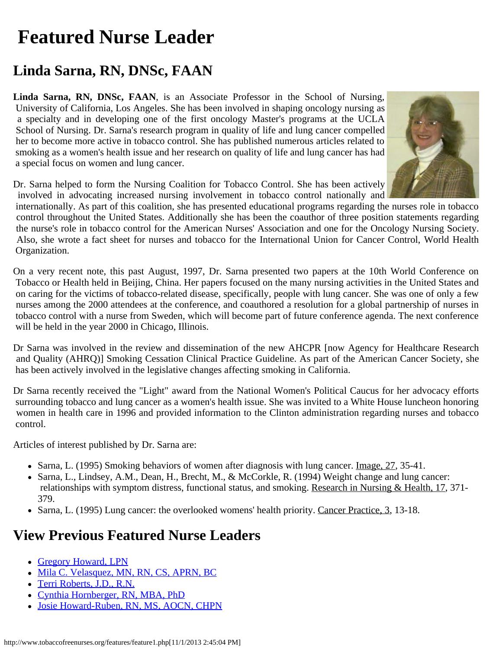## <span id="page-0-0"></span>**Featured Nurse Leader**

## **Linda Sarna, RN, DNSc, FAAN**

**Linda Sarna, RN, DNSc, FAAN**, is an Associate Professor in the School of Nursing, University of California, Los Angeles. She has been involved in shaping oncology nursing as a specialty and in developing one of the first oncology Master's programs at the UCLA School of Nursing. Dr. Sarna's research program in quality of life and lung cancer compelled her to become more active in tobacco control. She has published numerous articles related to smoking as a women's health issue and her research on quality of life and lung cancer has had a special focus on women and lung cancer.

Dr. Sarna helped to form the Nursing Coalition for Tobacco Control. She has been actively involved in advocating increased nursing involvement in tobacco control nationally and



 internationally. As part of this coalition, she has presented educational programs regarding the nurses role in tobacco control throughout the United States. Additionally she has been the coauthor of three position statements regarding the nurse's role in tobacco control for the American Nurses' Association and one for the Oncology Nursing Society. Also, she wrote a fact sheet for nurses and tobacco for the International Union for Cancer Control, World Health Organization.

On a very recent note, this past August, 1997, Dr. Sarna presented two papers at the 10th World Conference on Tobacco or Health held in Beijing, China. Her papers focused on the many nursing activities in the United States and on caring for the victims of tobacco-related disease, specifically, people with lung cancer. She was one of only a few nurses among the 2000 attendees at the conference, and coauthored a resolution for a global partnership of nurses in tobacco control with a nurse from Sweden, which will become part of future conference agenda. The next conference will be held in the year 2000 in Chicago, Illinois.

Dr Sarna was involved in the review and dissemination of the new AHCPR [now Agency for Healthcare Research and Quality (AHRQ)] Smoking Cessation Clinical Practice Guideline. As part of the American Cancer Society, she has been actively involved in the legislative changes affecting smoking in California.

Dr Sarna recently received the "Light" award from the National Women's Political Caucus for her advocacy efforts surrounding tobacco and lung cancer as a women's health issue. She was invited to a White House luncheon honoring women in health care in 1996 and provided information to the Clinton administration regarding nurses and tobacco control.

Articles of interest published by Dr. Sarna are:

- Sarna, L. (1995) Smoking behaviors of women after diagnosis with lung cancer. Image, 27, 35-41.
- Sarna, L., Lindsey, A.M., Dean, H., Brecht, M., & McCorkle, R. (1994) Weight change and lung cancer: relationships with symptom distress, functional status, and smoking. Research in Nursing & Health, 17, 371- 379.
- Sarna, L. (1995) Lung cancer: the overlooked womens' health priority. Cancer Practice, 3, 13-18.

## **View Previous Featured Nurse Leaders**

- [Gregory Howard, LPN](http://www.tobaccofreenurses.org/features/index.php)
- [Mila C. Velasquez, MN, RN, CS, APRN, BC](http://www.tobaccofreenurses.org/features/feature7.php)
- [Terri Roberts, J.D., R.N.](http://www.tobaccofreenurses.org/features/feature6.php)
- [Cynthia Hornberger, RN, MBA, PhD](http://www.tobaccofreenurses.org/features/feature5.php)
- [Josie Howard-Ruben, RN, MS, AOCN, CHPN](http://www.tobaccofreenurses.org/features/feature4.php)